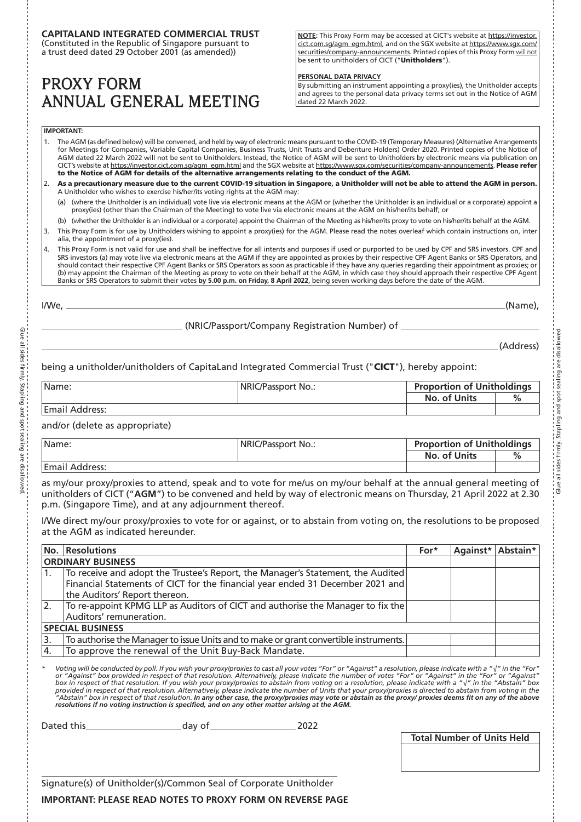# **CAPITALAND INTEGRATED COMMERCIAL TRUST**

(Constituted in the Republic of Singapore pursuant to a trust deed dated 29 October 2001 (as amended))

# PROXY FORM ANNUAL GENERAL MEETING

**NOTE:** This Proxy Form may be accessed at CICT's website at https://investor. cict.com.sg/agm\_egm.html, and on the SGX website at https://www.sgx.com/ securities/company-announcements. Printed copies of this Proxy Form will not be sent to unitholders of CICT ("Unitholders").

### **PERSONAL DATA PRIVACY**

By submitting an instrument appointing a proxy(ies), the Unitholder accepts and agrees to the personal data privacy terms set out in the Notice of AGM dated 22 March 2022.

### **IMPORTANT:**

- 1. The AGM (as defined below) will be convened, and held by way of electronic means pursuant to the COVID-19 (Temporary Measures) (Alternative Arrangements for Meetings for Companies, Variable Capital Companies, Business Trusts, Unit Trusts and Debenture Holders) Order 2020. Printed copies of the Notice of AGM dated 22 March 2022 will not be sent to Unitholders. Instead, the Notice of AGM will be sent to Unitholders by electronic means via publication on CICT's website at https://investor.cict.com.sg/agm\_egm.html and the SGX website at https://www.sgx.com/securities/company-announcements. Please refer to the Notice of AGM for details of the alternative arrangements relating to the conduct of the AGM.
- 2. As a precautionary measure due to the current COVID-19 situation in Singapore, a Unitholder will not be able to attend the AGM in person. A Unitholder who wishes to exercise his/her/its voting rights at the AGM may:
	- (a) (where the Unitholder is an individual) vote live via electronic means at the AGM or (whether the Unitholder is an individual or a corporate) appoint a proxy(ies) (other than the Chairman of the Meeting) to vote live via electronic means at the AGM on his/her/its behalf; or
- (b) (whether the Unitholder is an individual or a corporate) appoint the Chairman of the Meeting as his/her/its proxy to vote on his/her/its behalf at the AGM.
- 3. This Proxy Form is for use by Unitholders wishing to appoint a proxy(ies) for the AGM. Please read the notes overleaf which contain instructions on, inter alia, the appointment of a proxy(ies).
- 4. This Proxy Form is not valid for use and shall be ineffective for all intents and purposes if used or purported to be used by CPF and SRS investors. CPF and SRS investors (a) may vote live via electronic means at the AGM if they are appointed as proxies by their respective CPF Agent Banks or SRS Operators, and should contact their respective CPF Agent Banks or SRS Operators as soon as practicable if they have any queries regarding their appointment as proxies; or (b) may appoint the Chairman of the Meeting as proxy to vote on their behalf at the AGM, in which case they should approach their respective CPF Agent Banks or SRS Operators to submit their votes **by 5.00 p.m. on Friday, 8 April 2022**, being seven working days before the date of the AGM.

I/We, (Name),

(NRIC/Passport/Company Registration Number) of

(Address)

Glue all sides firmly. Stapling and spot sealing are disallowed.

# being a unitholder/unitholders of CapitaLand Integrated Commercial Trust ("CICT"), hereby appoint:

| Name:          | NRIC/Passport No.: |              | <b>Proportion of Unitholdings</b> |  |
|----------------|--------------------|--------------|-----------------------------------|--|
|                |                    | No. of Units | %                                 |  |
| Email Address: |                    |              |                                   |  |

and/or (delete as appropriate)

| IName:         | NRIC/Passport No.: | <b>Proportion of Unitholdings</b> |  |
|----------------|--------------------|-----------------------------------|--|
|                |                    | No. of Units                      |  |
| Email Address: |                    |                                   |  |

as my/our proxy/proxies to attend, speak and to vote for me/us on my/our behalf at the annual general meeting of unitholders of CICT ("**AGM**") to be convened and held by way of electronic means on Thursday, 21 April 2022 at 2.30 p.m. (Singapore Time), and at any adjournment thereof.

I/We direct my/our proxy/proxies to vote for or against, or to abstain from voting on, the resolutions to be proposed at the AGM as indicated hereunder.

|                          | No. Resolutions                                                                       | For* |  | Against* Abstain* |
|--------------------------|---------------------------------------------------------------------------------------|------|--|-------------------|
| <b>ORDINARY BUSINESS</b> |                                                                                       |      |  |                   |
| 1.                       | To receive and adopt the Trustee's Report, the Manager's Statement, the Audited       |      |  |                   |
|                          | Financial Statements of CICT for the financial year ended 31 December 2021 and        |      |  |                   |
|                          | the Auditors' Report thereon.                                                         |      |  |                   |
| I2.                      | To re-appoint KPMG LLP as Auditors of CICT and authorise the Manager to fix the       |      |  |                   |
|                          | Auditors' remuneration.                                                               |      |  |                   |
| <b>SPECIAL BUSINESS</b>  |                                                                                       |      |  |                   |
| 13.                      | To authorise the Manager to issue Units and to make or grant convertible instruments. |      |  |                   |
| $\overline{4}$           | To approve the renewal of the Unit Buy-Back Mandate.                                  |      |  |                   |

"Voting will be conducted by poll. If you wish your proxylproxies to cast all your votes "For" or "Against" a resolution, please indicate with a "√" in the "For<br>"or "Against" box provided in respect of that resolution. Alt provided in respect of that resolution. Alternatively, please indicate the number of Units that your proxylproxies is directed to abstain from voting in the<br>"Abstain" box in respect of that resolution. **In any other case,** *resolutions if no voting instruction is specified, and on any other matter arising at the AGM.* 

Dated this 2022

**Total Number of Units Held**

Signature(s) of Unitholder(s)/Common Seal of Corporate Unitholder

**IMPORTANT: PLEASE READ NOTES TO PROXY FORM ON REVERSE PAGE**